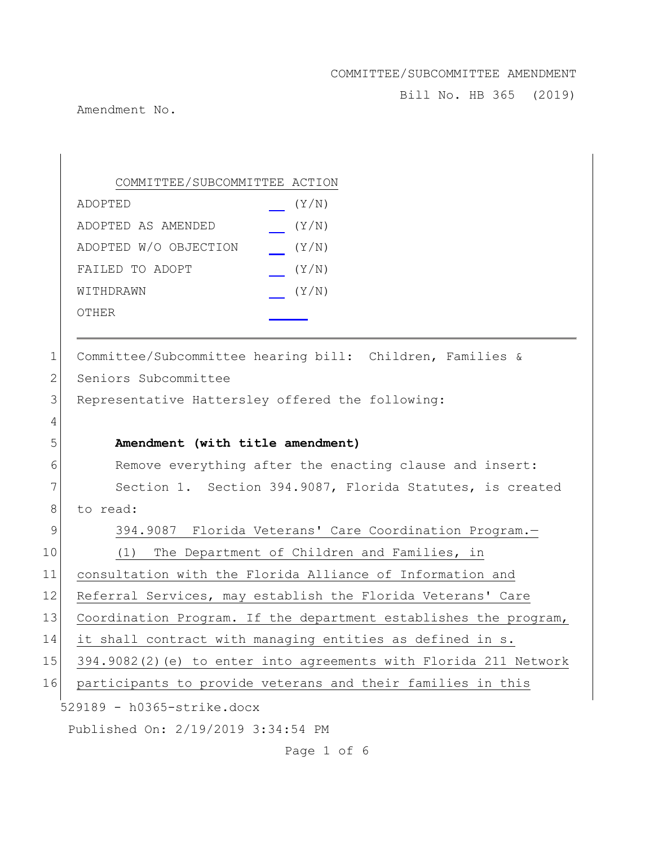Bill No. HB 365 (2019)

Amendment No.

529189 - h0365-strike.docx Published On: 2/19/2019 3:34:54 PM COMMITTEE/SUBCOMMITTEE ACTION ADOPTED (Y/N) ADOPTED AS AMENDED (Y/N) ADOPTED W/O OBJECTION (Y/N) FAILED TO ADOPT  $(Y/N)$ WITHDRAWN  $(Y/N)$ OTHER 1 Committee/Subcommittee hearing bill: Children, Families & 2 Seniors Subcommittee 3 Representative Hattersley offered the following: 4 5 **Amendment (with title amendment)** 6 Remove everything after the enacting clause and insert: 7 Section 1. Section 394.9087, Florida Statutes, is created 8 to read: 9 394.9087 Florida Veterans' Care Coordination Program. 10 (1) The Department of Children and Families, in 11 consultation with the Florida Alliance of Information and 12 Referral Services, may establish the Florida Veterans' Care 13 Coordination Program. If the department establishes the program, 14 it shall contract with managing entities as defined in s. 15 394.9082(2)(e) to enter into agreements with Florida 211 Network 16 participants to provide veterans and their families in this

Page 1 of 6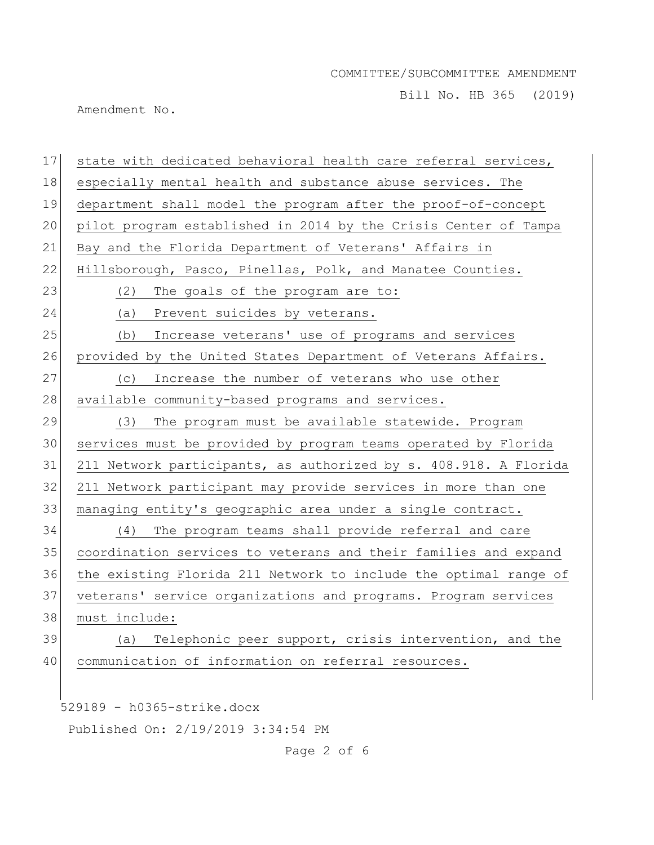Bill No. HB 365 (2019)

Amendment No.

| 17 | state with dedicated behavioral health care referral services,   |
|----|------------------------------------------------------------------|
| 18 | especially mental health and substance abuse services. The       |
| 19 | department shall model the program after the proof-of-concept    |
| 20 | pilot program established in 2014 by the Crisis Center of Tampa  |
| 21 | Bay and the Florida Department of Veterans' Affairs in           |
| 22 | Hillsborough, Pasco, Pinellas, Polk, and Manatee Counties.       |
| 23 | (2)<br>The goals of the program are to:                          |
| 24 | (a) Prevent suicides by veterans.                                |
| 25 | Increase veterans' use of programs and services<br>(b)           |
| 26 | provided by the United States Department of Veterans Affairs.    |
| 27 | Increase the number of veterans who use other<br>(C)             |
| 28 | available community-based programs and services.                 |
| 29 | (3)<br>The program must be available statewide. Program          |
| 30 | services must be provided by program teams operated by Florida   |
| 31 | 211 Network participants, as authorized by s. 408.918. A Florida |
| 32 | 211 Network participant may provide services in more than one    |
| 33 | managing entity's geographic area under a single contract.       |
| 34 | The program teams shall provide referral and care<br>(4)         |
| 35 | coordination services to veterans and their families and expand  |
| 36 | the existing Florida 211 Network to include the optimal range of |
| 37 | veterans' service organizations and programs. Program services   |
| 38 | must include:                                                    |
| 39 | Telephonic peer support, crisis intervention, and the<br>(a)     |
| 40 | communication of information on referral resources.              |
|    |                                                                  |
|    | 529189 - h0365-strike.docx                                       |

Published On: 2/19/2019 3:34:54 PM

Page 2 of 6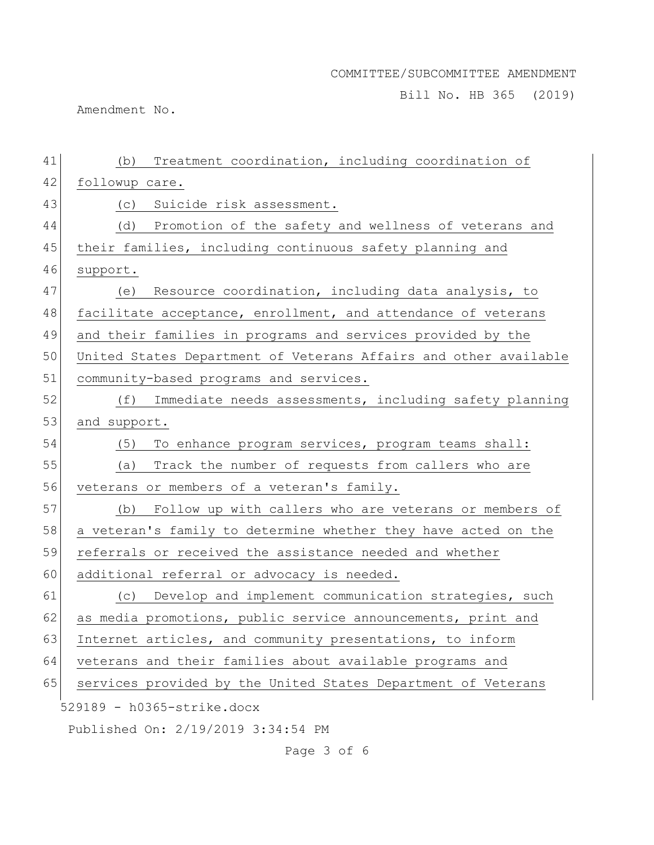Bill No. HB 365 (2019)

Amendment No.

| 41 | Treatment coordination, including coordination of<br>(b)         |
|----|------------------------------------------------------------------|
| 42 | followup care.                                                   |
| 43 | (c) Suicide risk assessment.                                     |
| 44 | (d) Promotion of the safety and wellness of veterans and         |
| 45 | their families, including continuous safety planning and         |
| 46 | support.                                                         |
| 47 | Resource coordination, including data analysis, to<br>(e)        |
| 48 | facilitate acceptance, enrollment, and attendance of veterans    |
| 49 | and their families in programs and services provided by the      |
| 50 | United States Department of Veterans Affairs and other available |
| 51 | community-based programs and services.                           |
| 52 | Immediate needs assessments, including safety planning<br>(f)    |
| 53 | and support.                                                     |
| 54 | (5)<br>To enhance program services, program teams shall:         |
| 55 | Track the number of requests from callers who are<br>(a)         |
| 56 | veterans or members of a veteran's family.                       |
| 57 | Follow up with callers who are veterans or members of<br>(b)     |
| 58 | a veteran's family to determine whether they have acted on the   |
| 59 | referrals or received the assistance needed and whether          |
| 60 | additional referral or advocacy is needed.                       |
| 61 | Develop and implement communication strategies, such<br>(C)      |
| 62 | as media promotions, public service announcements, print and     |
| 63 | Internet articles, and community presentations, to inform        |
| 64 | veterans and their families about available programs and         |
| 65 | services provided by the United States Department of Veterans    |
|    | 529189 - h0365-strike.docx                                       |
|    | Published On: 2/19/2019 3:34:54 PM                               |

Page 3 of 6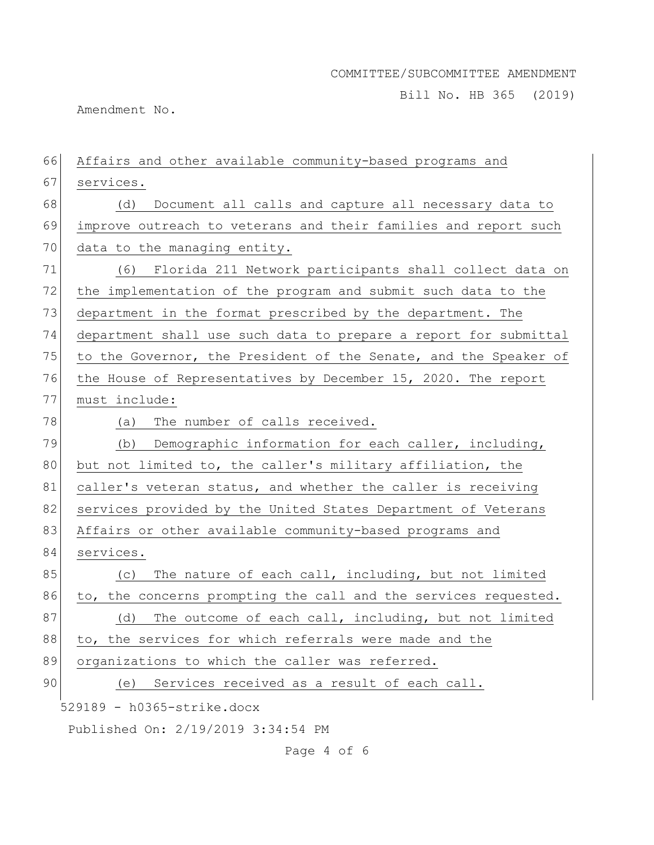Bill No. HB 365 (2019)

Amendment No.

| 66 | Affairs and other available community-based programs and         |
|----|------------------------------------------------------------------|
| 67 | services.                                                        |
| 68 | Document all calls and capture all necessary data to<br>(d)      |
| 69 | improve outreach to veterans and their families and report such  |
| 70 | data to the managing entity.                                     |
| 71 | (6) Florida 211 Network participants shall collect data on       |
| 72 | the implementation of the program and submit such data to the    |
| 73 | department in the format prescribed by the department. The       |
| 74 | department shall use such data to prepare a report for submittal |
| 75 | to the Governor, the President of the Senate, and the Speaker of |
| 76 | the House of Representatives by December 15, 2020. The report    |
| 77 | must include:                                                    |
| 78 | The number of calls received.<br>(a)                             |
| 79 | (b) Demographic information for each caller, including,          |
| 80 | but not limited to, the caller's military affiliation, the       |
| 81 | caller's veteran status, and whether the caller is receiving     |
| 82 | services provided by the United States Department of Veterans    |
| 83 | Affairs or other available community-based programs and          |
| 84 | services.                                                        |
| 85 | The nature of each call, including, but not limited<br>(C)       |
| 86 | to, the concerns prompting the call and the services requested.  |
| 87 | The outcome of each call, including, but not limited<br>(d)      |
| 88 | to, the services for which referrals were made and the           |
| 89 | organizations to which the caller was referred.                  |
| 90 | Services received as a result of each call.<br>(e)               |
|    | 529189 - h0365-strike.docx                                       |
|    | Published On: 2/19/2019 3:34:54 PM                               |

Page 4 of 6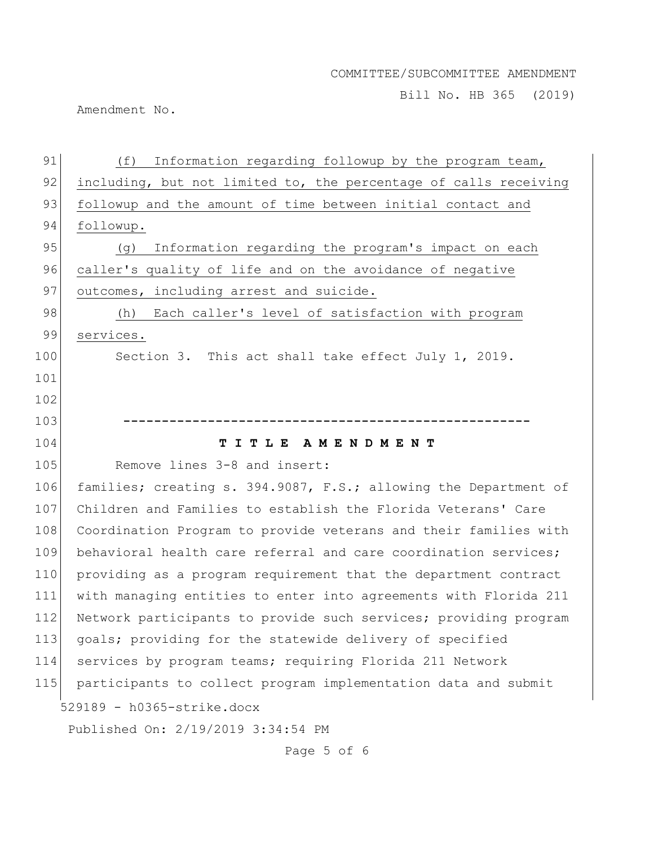Bill No. HB 365 (2019)

Amendment No.

| 91  | (f)<br>Information regarding followup by the program team,       |
|-----|------------------------------------------------------------------|
| 92  | including, but not limited to, the percentage of calls receiving |
| 93  | followup and the amount of time between initial contact and      |
| 94  | followup.                                                        |
| 95  | Information regarding the program's impact on each<br>(g)        |
| 96  | caller's quality of life and on the avoidance of negative        |
| 97  | outcomes, including arrest and suicide.                          |
| 98  | Each caller's level of satisfaction with program<br>(h)          |
| 99  | services.                                                        |
| 100 | Section 3. This act shall take effect July 1, 2019.              |
| 101 |                                                                  |
| 102 |                                                                  |
| 103 |                                                                  |
|     | I T L E A M E N D M E N T<br>т                                   |
| 104 |                                                                  |
| 105 | Remove lines 3-8 and insert:                                     |
| 106 | families; creating s. 394.9087, F.S.; allowing the Department of |
| 107 | Children and Families to establish the Florida Veterans' Care    |
| 108 | Coordination Program to provide veterans and their families with |
| 109 | behavioral health care referral and care coordination services;  |
| 110 | providing as a program requirement that the department contract  |
| 111 | with managing entities to enter into agreements with Florida 211 |
| 112 | Network participants to provide such services; providing program |
| 113 | goals; providing for the statewide delivery of specified         |
| 114 | services by program teams; requiring Florida 211 Network         |
| 115 | participants to collect program implementation data and submit   |
|     | 529189 - h0365-strike.docx                                       |

Page 5 of 6